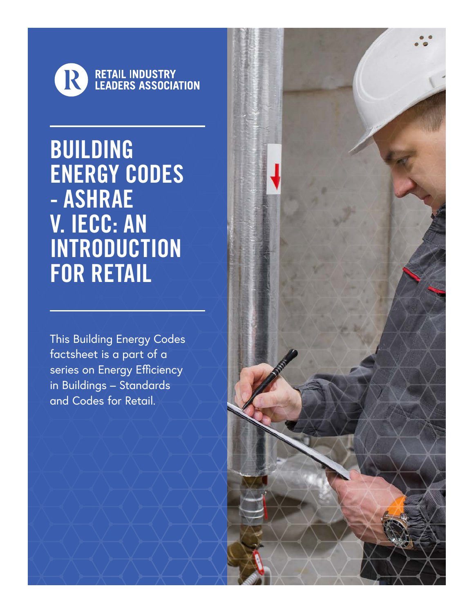

BUILDING ENERGY CODES - ASHRAE V. IECC: AN **INTRODUCTION** FOR RETAIL

This Building Energy Codes factsheet is a part of a series on Energy Efficiency in Buildings – Standards and Codes for Retail.

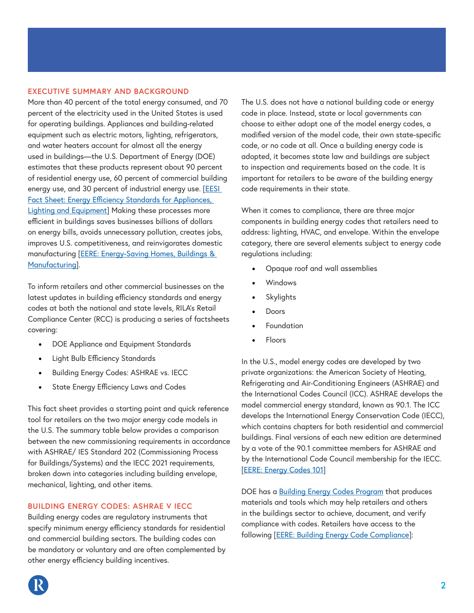## **EXECUTIVE SUMMARY AND BACKGROUND**

More than 40 percent of the total energy consumed, and 70 percent of the electricity used in the United States is used for operating buildings. Appliances and building-related equipment such as electric motors, lighting, refrigerators, and water heaters account for almost all the energy used in buildings—the U.S. Department of Energy (DOE) estimates that these products represent about 90 percent of residential energy use, 60 percent of commercial building energy use, and 30 percent of industrial energy use. [\[EESI](https://www.eesi.org/papers/view/fact-sheet-energy-efficiency-standards-for-appliances-lighting-and-equipmen)  [Fact Sheet: Energy Efficiency Standards for Appliances,](https://www.eesi.org/papers/view/fact-sheet-energy-efficiency-standards-for-appliances-lighting-and-equipmen)  [Lighting and Equipment](https://www.eesi.org/papers/view/fact-sheet-energy-efficiency-standards-for-appliances-lighting-and-equipmen)] Making these processes more efficient in buildings saves businesses billions of dollars on energy bills, avoids unnecessary pollution, creates jobs, improves U.S. competitiveness, and reinvigorates domestic manufacturing [\[EERE: Energy-Saving Homes, Buildings &](https://www.energy.gov/sites/prod/files/2013/11/f4/55297.pdf)  [Manufacturing\]](https://www.energy.gov/sites/prod/files/2013/11/f4/55297.pdf).

To inform retailers and other commercial businesses on the latest updates in building efficiency standards and energy codes at both the national and state levels, RILA's Retail Compliance Center (RCC) is producing a series of factsheets covering:

- DOE Appliance and Equipment Standards
- Light Bulb Efficiency Standards
- Building Energy Codes: ASHRAE vs. IECC
- State Energy Efficiency Laws and Codes

This fact sheet provides a starting point and quick reference tool for retailers on the two major energy code models in the U.S. The summary table below provides a comparison between the new commissioning requirements in accordance with ASHRAE/ IES Standard 202 (Commissioning Process for Buildings/Systems) and the IECC 2021 requirements, broken down into categories including building envelope, mechanical, lighting, and other items.

## **BUILDING ENERGY CODES: ASHRAE V IECC**

Building energy codes are regulatory instruments that specify minimum energy efficiency standards for residential and commercial building sectors. The building codes can be mandatory or voluntary and are often complemented by other energy efficiency building incentives.

The U.S. does not have a national building code or energy code in place. Instead, state or local governments can choose to either adopt one of the model energy codes, a modified version of the model code, their own state-specific code, or no code at all. Once a building energy code is adopted, it becomes state law and buildings are subject to inspection and requirements based on the code. It is important for retailers to be aware of the building energy code requirements in their state.

When it comes to compliance, there are three major components in building energy codes that retailers need to address: lighting, HVAC, and envelope. Within the envelope category, there are several elements subject to energy code regulations including:

- Opaque roof and wall assemblies
- Windows
- **Skylights**
- Doors
- **Foundation**
- Floors

In the U.S., model energy codes are developed by two private organizations: the American Society of Heating, Refrigerating and Air-Conditioning Engineers (ASHRAE) and the International Codes Council (ICC). ASHRAE develops the model commercial energy standard, known as 90.1. The ICC develops the International Energy Conservation Code (IECC), which contains chapters for both residential and commercial buildings. Final versions of each new edition are determined by a vote of the 90.1 committee members for ASHRAE and by the International Code Council membership for the IECC. [\[EERE: Energy Codes 101\]](https://www.energy.gov/eere/buildings/articles/energy-codes-101-what-are-they-and-what-doe-s-role)

DOE has a [Building Energy Codes Program](https://www.energy.gov/eere/buildings/building-energy-codes-program) that produces materials and tools which may help retailers and others in the buildings sector to achieve, document, and verify compliance with codes. Retailers have access to the following [\[EERE: Building Energy Code Compliance\]](https://www.energy.gov/eere/buildings/articles/building-energy-code-compliance):

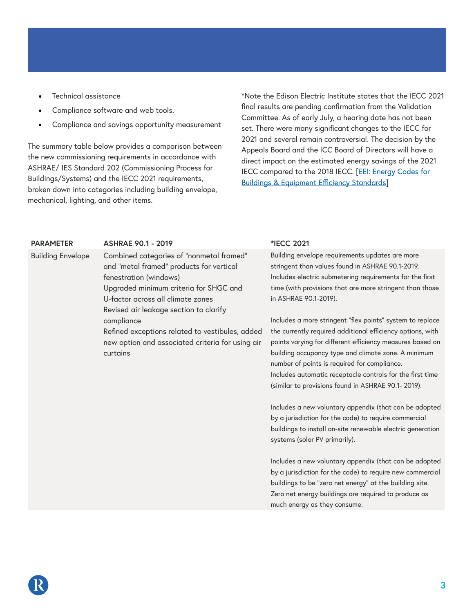- Technical assistance
- Compliance software and web tools.
- Compliance and savings opportunity measurement

The summary table below provides a comparison between the new commissioning requirements in accordance with ASHRAE/ IES Standard 202 (Commissioning Process for Buildings/Systems) and the IECC 2021 requirements, broken down into categories including building envelope, mechanical, lighting, and other items.

\*Note the Edison Electric Institute states that the IECC 2021 final results are pending confirmation from the Validation Committee. As of early July, a hearing date has not been set. There were many significant changes to the IECC for 2021 and several remain controversial. The decision by the Appeals Board and the ICC Board of Directors will have a direct impact on the estimated energy savings of the 2021 IECC compared to the 2018 IECC. [\[EEI: Energy Codes for](https://images.magnetmail.net/images/clients/EEI_/attach/NKA/EEI_Codes_and_Standards_Newsletter_July_2020.pdf) [Buildings & Equipment Efficiency Standards\]](https://images.magnetmail.net/images/clients/EEI_/attach/NKA/EEI_Codes_and_Standards_Newsletter_July_2020.pdf)

| <b>PARAMETER</b>         | <b>ASHRAE 90.1 - 2019</b>                       | *IECC 2021           |
|--------------------------|-------------------------------------------------|----------------------|
| <b>Building Envelope</b> | Combined categories of "nonmetal framed"        | <b>Building enve</b> |
|                          | and "metal framed" products for vertical        | stringent tha        |
|                          | fenestration (windows)                          | Includes elec        |
|                          | Upgraded minimum criteria for SHGC and          | time (with pr        |
|                          | U-factor across all climate zones               | in ASHRAE 9          |
|                          | Revised air leakage section to clarify          |                      |
|                          | compliance                                      | Includes a me        |
|                          | Refined exceptions related to vestibules, added | the currently        |
|                          |                                                 |                      |

new option and associated criteria for using air curtains

Building envelope requirements updates are more stringent than values found in ASHRAE 90.1-2019. Includes electric submetering requirements for the first time (with provisions that are more stringent than those in ASHRAE 90.1-2019).

Includes a more stringent "flex points" system to replace the currently required additional efficiency options, with points varying for different efficiency measures based on building occupancy type and climate zone. A minimum number of points is required for compliance. Includes automatic receptacle controls for the first time (similar to provisions found in ASHRAE 90.1- 2019).

Includes a new voluntary appendix (that can be adopted by a jurisdiction for the code) to require commercial buildings to install on-site renewable electric generation systems (solar PV primarily).

Includes a new voluntary appendix (that can be adopted by a jurisdiction for the code) to require new commercial buildings to be "zero net energy" at the building site. Zero net energy buildings are required to produce as much energy as they consume.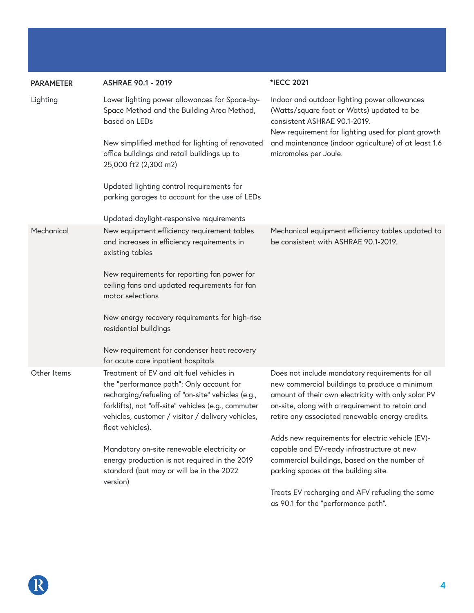| <b>PARAMETER</b> | <b>ASHRAE 90.1 - 2019</b>                                                                                                                                                                                                                                                 | *IECC 2021                                                                                                                                                                                                                                                   |
|------------------|---------------------------------------------------------------------------------------------------------------------------------------------------------------------------------------------------------------------------------------------------------------------------|--------------------------------------------------------------------------------------------------------------------------------------------------------------------------------------------------------------------------------------------------------------|
| Lighting         | Lower lighting power allowances for Space-by-<br>Space Method and the Building Area Method,<br>based on LEDs                                                                                                                                                              | Indoor and outdoor lighting power allowances<br>(Watts/square foot or Watts) updated to be<br>consistent ASHRAE 90.1-2019.<br>New requirement for lighting used for plant growth                                                                             |
|                  | New simplified method for lighting of renovated<br>office buildings and retail buildings up to<br>25,000 ft2 (2,300 m2)                                                                                                                                                   | and maintenance (indoor agriculture) of at least 1.6<br>micromoles per Joule.                                                                                                                                                                                |
|                  | Updated lighting control requirements for<br>parking garages to account for the use of LEDs                                                                                                                                                                               |                                                                                                                                                                                                                                                              |
|                  | Updated daylight-responsive requirements                                                                                                                                                                                                                                  |                                                                                                                                                                                                                                                              |
| Mechanical       | New equipment efficiency requirement tables<br>and increases in efficiency requirements in<br>existing tables                                                                                                                                                             | Mechanical equipment efficiency tables updated to<br>be consistent with ASHRAE 90.1-2019.                                                                                                                                                                    |
|                  | New requirements for reporting fan power for<br>ceiling fans and updated requirements for fan<br>motor selections                                                                                                                                                         |                                                                                                                                                                                                                                                              |
|                  | New energy recovery requirements for high-rise<br>residential buildings                                                                                                                                                                                                   |                                                                                                                                                                                                                                                              |
|                  | New requirement for condenser heat recovery<br>for acute care inpatient hospitals                                                                                                                                                                                         |                                                                                                                                                                                                                                                              |
| Other Items      | Treatment of EV and alt fuel vehicles in<br>the "performance path": Only account for<br>recharging/refueling of "on-site" vehicles (e.g.,<br>forklifts), not "off-site" vehicles (e.g., commuter<br>vehicles, customer / visitor / delivery vehicles,<br>fleet vehicles). | Does not include mandatory requirements for all<br>new commercial buildings to produce a minimum<br>amount of their own electricity with only solar PV<br>on-site, along with a requirement to retain and<br>retire any associated renewable energy credits. |
|                  |                                                                                                                                                                                                                                                                           | Adds new requirements for electric vehicle (EV)-                                                                                                                                                                                                             |
|                  | Mandatory on-site renewable electricity or<br>energy production is not required in the 2019<br>standard (but may or will be in the 2022<br>version)                                                                                                                       | capable and EV-ready infrastructure at new<br>commercial buildings, based on the number of<br>parking spaces at the building site.                                                                                                                           |
|                  |                                                                                                                                                                                                                                                                           | Treats EV recharging and AFV refueling the same<br>as 90.1 for the "performance path".                                                                                                                                                                       |

R